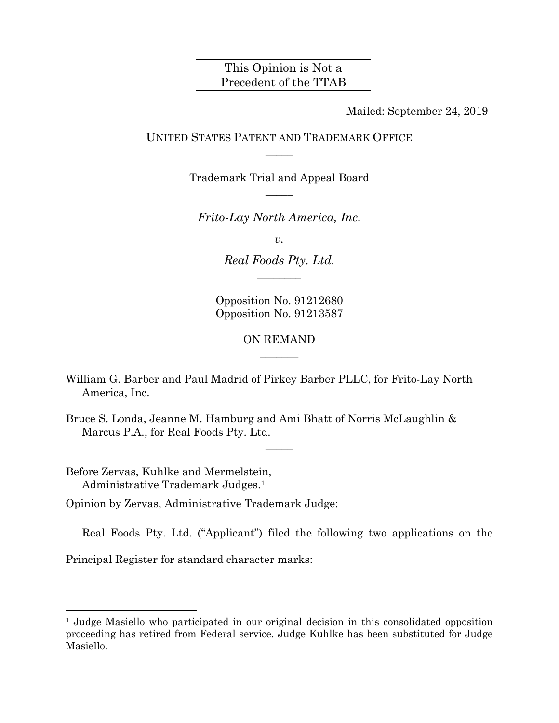This Opinion is Not a Precedent of the TTAB

Mailed: September 24, 2019

### UNITED STATES PATENT AND TRADEMARK OFFICE  $\overline{\phantom{a}}$

Trademark Trial and Appeal Board  $\overline{\phantom{a}}$ 

*Frito-Lay North America, Inc.* 

*v.* 

*Real Foods Pty. Ltd.*   $\overline{\phantom{a}}$ 

Opposition No. 91212680 Opposition No. 91213587

> ON REMAND  $\overline{\phantom{a}}$

> > $\overline{\phantom{a}}$

- William G. Barber and Paul Madrid of Pirkey Barber PLLC, for Frito-Lay North America, Inc.
- Bruce S. Londa, Jeanne M. Hamburg and Ami Bhatt of Norris McLaughlin & Marcus P.A., for Real Foods Pty. Ltd.

Before Zervas, Kuhlke and Mermelstein, Administrative Trademark Judges.1

l

Opinion by Zervas, Administrative Trademark Judge:

Real Foods Pty. Ltd. ("Applicant") filed the following two applications on the

Principal Register for standard character marks:

<sup>1</sup> Judge Masiello who participated in our original decision in this consolidated opposition proceeding has retired from Federal service. Judge Kuhlke has been substituted for Judge Masiello.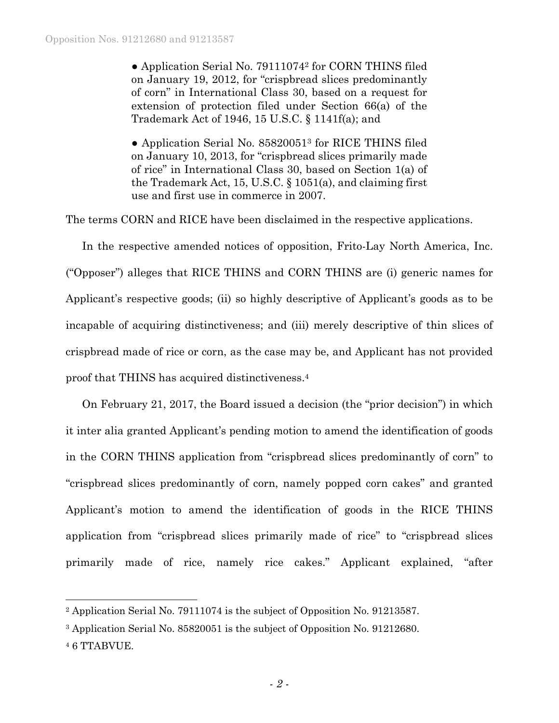• Application Serial No. 79111074<sup>2</sup> for CORN THINS filed on January 19, 2012, for "crispbread slices predominantly of corn" in International Class 30, based on a request for extension of protection filed under Section 66(a) of the Trademark Act of 1946, 15 U.S.C. § 1141f(a); and

• Application Serial No. 85820051<sup>3</sup> for RICE THINS filed on January 10, 2013, for "crispbread slices primarily made of rice" in International Class 30, based on Section 1(a) of the Trademark Act, 15, U.S.C. § 1051(a), and claiming first use and first use in commerce in 2007.

The terms CORN and RICE have been disclaimed in the respective applications.

In the respective amended notices of opposition, Frito-Lay North America, Inc. ("Opposer") alleges that RICE THINS and CORN THINS are (i) generic names for Applicant's respective goods; (ii) so highly descriptive of Applicant's goods as to be incapable of acquiring distinctiveness; and (iii) merely descriptive of thin slices of crispbread made of rice or corn, as the case may be, and Applicant has not provided proof that THINS has acquired distinctiveness.4

On February 21, 2017, the Board issued a decision (the "prior decision") in which it inter alia granted Applicant's pending motion to amend the identification of goods in the CORN THINS application from "crispbread slices predominantly of corn" to "crispbread slices predominantly of corn, namely popped corn cakes" and granted Applicant's motion to amend the identification of goods in the RICE THINS application from "crispbread slices primarily made of rice" to "crispbread slices primarily made of rice, namely rice cakes." Applicant explained, "after

l

<sup>2</sup> Application Serial No. 79111074 is the subject of Opposition No. 91213587.

<sup>3</sup> Application Serial No. 85820051 is the subject of Opposition No. 91212680.

<sup>4 6</sup> TTABVUE.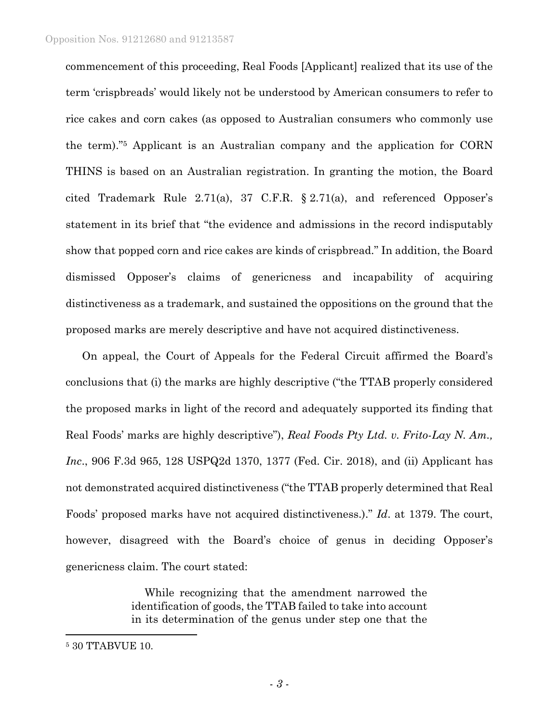commencement of this proceeding, Real Foods [Applicant] realized that its use of the term 'crispbreads' would likely not be understood by American consumers to refer to rice cakes and corn cakes (as opposed to Australian consumers who commonly use the term)."5 Applicant is an Australian company and the application for CORN THINS is based on an Australian registration. In granting the motion, the Board cited Trademark Rule 2.71(a), 37 C.F.R. § 2.71(a), and referenced Opposer's statement in its brief that "the evidence and admissions in the record indisputably show that popped corn and rice cakes are kinds of crispbread." In addition, the Board dismissed Opposer's claims of genericness and incapability of acquiring distinctiveness as a trademark, and sustained the oppositions on the ground that the proposed marks are merely descriptive and have not acquired distinctiveness.

On appeal, the Court of Appeals for the Federal Circuit affirmed the Board's conclusions that (i) the marks are highly descriptive ("the TTAB properly considered the proposed marks in light of the record and adequately supported its finding that Real Foods' marks are highly descriptive"), *Real Foods Pty Ltd. v. Frito-Lay N. Am., Inc*., 906 F.3d 965, 128 USPQ2d 1370, 1377 (Fed. Cir. 2018), and (ii) Applicant has not demonstrated acquired distinctiveness ("the TTAB properly determined that Real Foods' proposed marks have not acquired distinctiveness.)." *Id*. at 1379. The court, however, disagreed with the Board's choice of genus in deciding Opposer's genericness claim. The court stated:

> While recognizing that the amendment narrowed the identification of goods, the TTAB failed to take into account in its determination of the genus under step one that the

1

<sup>5 30</sup> TTABVUE 10.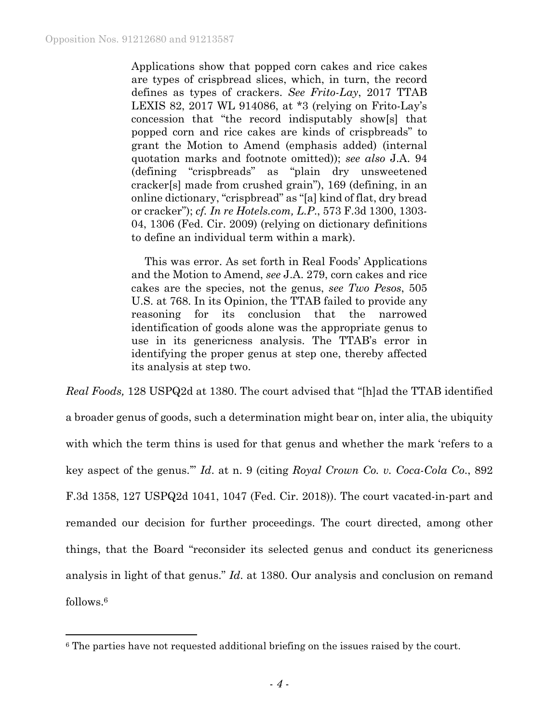$\overline{a}$ 

Applications show that popped corn cakes and rice cakes are types of crispbread slices, which, in turn, the record defines as types of crackers. *See Frito-Lay*, 2017 TTAB LEXIS 82, 2017 WL 914086, at \*3 (relying on Frito-Lay's concession that "the record indisputably show[s] that popped corn and rice cakes are kinds of crispbreads" to grant the Motion to Amend (emphasis added) (internal quotation marks and footnote omitted)); *see also* J.A. 94 (defining "crispbreads" as "plain dry unsweetened cracker[s] made from crushed grain"), 169 (defining, in an online dictionary, "crispbread" as "[a] kind of flat, dry bread or cracker"); *cf. In re Hotels.com, L.P*., 573 F.3d 1300, 1303- 04, 1306 (Fed. Cir. 2009) (relying on dictionary definitions to define an individual term within a mark).

This was error. As set forth in Real Foods' Applications and the Motion to Amend, *see* J.A. 279, corn cakes and rice cakes are the species, not the genus, *see Two Pesos*, 505 U.S. at 768. In its Opinion, the TTAB failed to provide any reasoning for its conclusion that the narrowed identification of goods alone was the appropriate genus to use in its genericness analysis. The TTAB's error in identifying the proper genus at step one, thereby affected its analysis at step two.

*Real Foods,* 128 USPQ2d at 1380. The court advised that "[h]ad the TTAB identified a broader genus of goods, such a determination might bear on, inter alia, the ubiquity with which the term thins is used for that genus and whether the mark 'refers to a key aspect of the genus.'" *Id*. at n. 9 (citing *Royal Crown Co. v. Coca-Cola Co*., 892 F.3d 1358, 127 USPQ2d 1041, 1047 (Fed. Cir. 2018)). The court vacated-in-part and remanded our decision for further proceedings. The court directed, among other things, that the Board "reconsider its selected genus and conduct its genericness analysis in light of that genus." *Id*. at 1380. Our analysis and conclusion on remand follows.6

<sup>&</sup>lt;sup>6</sup> The parties have not requested additional briefing on the issues raised by the court.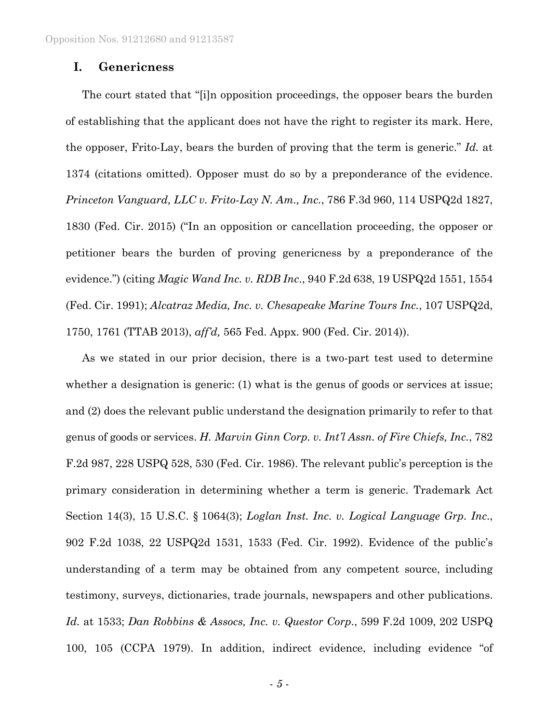# **I. Genericness**

The court stated that "[i]n opposition proceedings, the opposer bears the burden of establishing that the applicant does not have the right to register its mark. Here, the opposer, Frito-Lay, bears the burden of proving that the term is generic." *Id.* at 1374 (citations omitted). Opposer must do so by a preponderance of the evidence. *Princeton Vanguard, LLC v. Frito-Lay N. Am., Inc.*, 786 F.3d 960, 114 USPQ2d 1827, 1830 (Fed. Cir. 2015) ("In an opposition or cancellation proceeding, the opposer or petitioner bears the burden of proving genericness by a preponderance of the evidence.") (citing *Magic Wand Inc. v. RDB Inc*., 940 F.2d 638, 19 USPQ2d 1551, 1554 (Fed. Cir. 1991); *Alcatraz Media, Inc. v. Chesapeake Marine Tours Inc.*, 107 USPQ2d, 1750, 1761 (TTAB 2013), *aff'd,* 565 Fed. Appx. 900 (Fed. Cir. 2014)).

As we stated in our prior decision, there is a two-part test used to determine whether a designation is generic: (1) what is the genus of goods or services at issue; and (2) does the relevant public understand the designation primarily to refer to that genus of goods or services. *H. Marvin Ginn Corp. v. Int'l Assn. of Fire Chiefs, Inc.*, 782 F.2d 987, 228 USPQ 528, 530 (Fed. Cir. 1986). The relevant public's perception is the primary consideration in determining whether a term is generic. Trademark Act Section 14(3), 15 U.S.C. § 1064(3); *Loglan Inst. Inc. v. Logical Language Grp. Inc*., 902 F.2d 1038, 22 USPQ2d 1531, 1533 (Fed. Cir. 1992). Evidence of the public's understanding of a term may be obtained from any competent source, including testimony, surveys, dictionaries, trade journals, newspapers and other publications. *Id.* at 1533; *Dan Robbins & Assocs, Inc. v. Questor Corp*., 599 F.2d 1009, 202 USPQ 100, 105 (CCPA 1979). In addition, indirect evidence, including evidence "of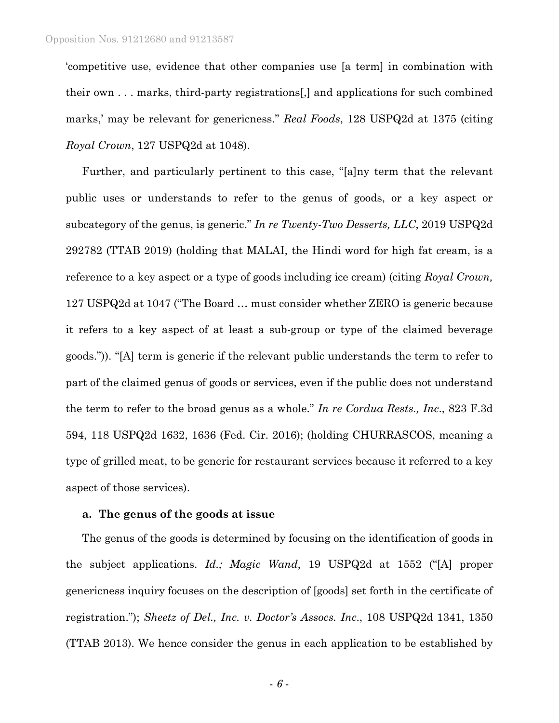'competitive use, evidence that other companies use [a term] in combination with their own . . . marks, third-party registrations[,] and applications for such combined marks,' may be relevant for genericness." *Real Foods*, 128 USPQ2d at 1375 (citing *Royal Crown*, 127 USPQ2d at 1048).

Further, and particularly pertinent to this case, "[a]ny term that the relevant public uses or understands to refer to the genus of goods, or a key aspect or subcategory of the genus, is generic." *In re Twenty-Two Desserts, LLC*, 2019 USPQ2d 292782 (TTAB 2019) (holding that MALAI, the Hindi word for high fat cream, is a reference to a key aspect or a type of goods including ice cream) (citing *Royal Crown,* 127 USPQ2d at 1047 ("The Board … must consider whether ZERO is generic because it refers to a key aspect of at least a sub-group or type of the claimed beverage goods.")). "[A] term is generic if the relevant public understands the term to refer to part of the claimed genus of goods or services, even if the public does not understand the term to refer to the broad genus as a whole." *In re Cordua Rests., Inc*., 823 F.3d 594, 118 USPQ2d 1632, 1636 (Fed. Cir. 2016); (holding CHURRASCOS, meaning a type of grilled meat, to be generic for restaurant services because it referred to a key aspect of those services).

#### **a. The genus of the goods at issue**

The genus of the goods is determined by focusing on the identification of goods in the subject applications. *Id.; Magic Wand*, 19 USPQ2d at 1552 ("[A] proper genericness inquiry focuses on the description of [goods] set forth in the certificate of registration."); *Sheetz of Del., Inc. v. Doctor's Assocs. Inc*., 108 USPQ2d 1341, 1350 (TTAB 2013). We hence consider the genus in each application to be established by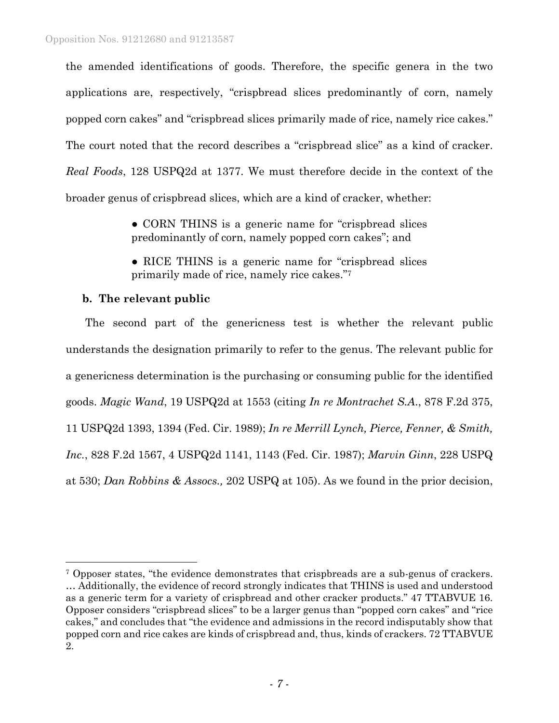the amended identifications of goods. Therefore, the specific genera in the two applications are, respectively, "crispbread slices predominantly of corn, namely popped corn cakes" and "crispbread slices primarily made of rice, namely rice cakes." The court noted that the record describes a "crispbread slice" as a kind of cracker. *Real Foods*, 128 USPQ2d at 1377. We must therefore decide in the context of the broader genus of crispbread slices, which are a kind of cracker, whether:

> • CORN THINS is a generic name for "crispbread slices" predominantly of corn, namely popped corn cakes"; and

> • RICE THINS is a generic name for "crispbread slices" primarily made of rice, namely rice cakes."7

### **b. The relevant public**

l

 The second part of the genericness test is whether the relevant public understands the designation primarily to refer to the genus. The relevant public for a genericness determination is the purchasing or consuming public for the identified goods. *Magic Wand*, 19 USPQ2d at 1553 (citing *In re Montrachet S.A*., 878 F.2d 375, 11 USPQ2d 1393, 1394 (Fed. Cir. 1989); *In re Merrill Lynch, Pierce, Fenner, & Smith, Inc.*, 828 F.2d 1567, 4 USPQ2d 1141, 1143 (Fed. Cir. 1987); *Marvin Ginn*, 228 USPQ at 530; *Dan Robbins & Assocs.,* 202 USPQ at 105). As we found in the prior decision,

<sup>7</sup> Opposer states, "the evidence demonstrates that crispbreads are a sub-genus of crackers. … Additionally, the evidence of record strongly indicates that THINS is used and understood as a generic term for a variety of crispbread and other cracker products." 47 TTABVUE 16. Opposer considers "crispbread slices" to be a larger genus than "popped corn cakes" and "rice cakes," and concludes that "the evidence and admissions in the record indisputably show that popped corn and rice cakes are kinds of crispbread and, thus, kinds of crackers. 72 TTABVUE 2.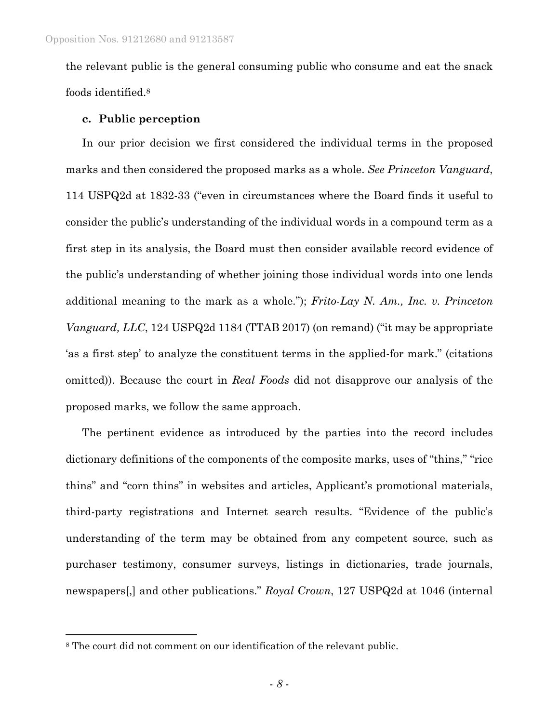the relevant public is the general consuming public who consume and eat the snack foods identified.8

#### **c. Public perception**

In our prior decision we first considered the individual terms in the proposed marks and then considered the proposed marks as a whole. *See Princeton Vanguard*, 114 USPQ2d at 1832-33 ("even in circumstances where the Board finds it useful to consider the public's understanding of the individual words in a compound term as a first step in its analysis, the Board must then consider available record evidence of the public's understanding of whether joining those individual words into one lends additional meaning to the mark as a whole."); *Frito-Lay N. Am., Inc. v. Princeton Vanguard, LLC*, 124 USPQ2d 1184 (TTAB 2017) (on remand) ("it may be appropriate 'as a first step' to analyze the constituent terms in the applied-for mark." (citations omitted)). Because the court in *Real Foods* did not disapprove our analysis of the proposed marks, we follow the same approach.

The pertinent evidence as introduced by the parties into the record includes dictionary definitions of the components of the composite marks, uses of "thins," "rice thins" and "corn thins" in websites and articles, Applicant's promotional materials, third-party registrations and Internet search results. "Evidence of the public's understanding of the term may be obtained from any competent source, such as purchaser testimony, consumer surveys, listings in dictionaries, trade journals, newspapers[,] and other publications." *Royal Crown*, 127 USPQ2d at 1046 (internal

1

<sup>8</sup> The court did not comment on our identification of the relevant public.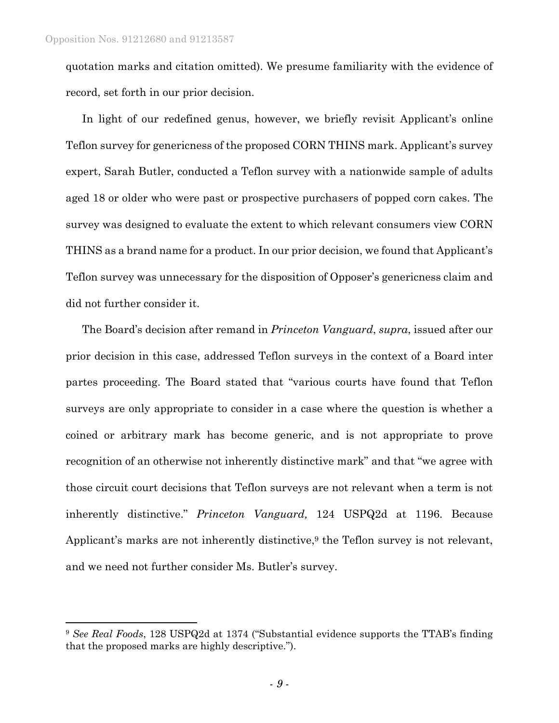1

quotation marks and citation omitted). We presume familiarity with the evidence of record, set forth in our prior decision.

In light of our redefined genus, however, we briefly revisit Applicant's online Teflon survey for genericness of the proposed CORN THINS mark. Applicant's survey expert, Sarah Butler, conducted a Teflon survey with a nationwide sample of adults aged 18 or older who were past or prospective purchasers of popped corn cakes. The survey was designed to evaluate the extent to which relevant consumers view CORN THINS as a brand name for a product. In our prior decision, we found that Applicant's Teflon survey was unnecessary for the disposition of Opposer's genericness claim and did not further consider it.

The Board's decision after remand in *Princeton Vanguard*, *supra*, issued after our prior decision in this case, addressed Teflon surveys in the context of a Board inter partes proceeding. The Board stated that "various courts have found that Teflon surveys are only appropriate to consider in a case where the question is whether a coined or arbitrary mark has become generic, and is not appropriate to prove recognition of an otherwise not inherently distinctive mark" and that "we agree with those circuit court decisions that Teflon surveys are not relevant when a term is not inherently distinctive." *Princeton Vanguard,* 124 USPQ2d at 1196. Because Applicant's marks are not inherently distinctive, $9$  the Teflon survey is not relevant, and we need not further consider Ms. Butler's survey.

<sup>9</sup> *See Real Foods*, 128 USPQ2d at 1374 ("Substantial evidence supports the TTAB's finding that the proposed marks are highly descriptive.").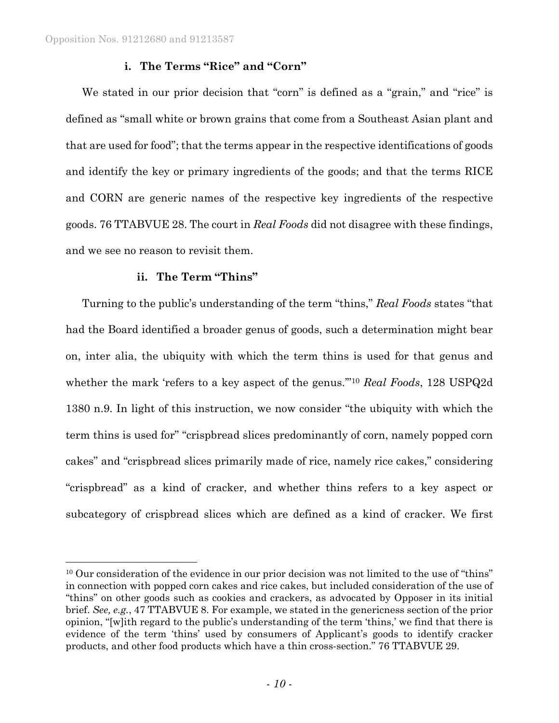l

## **i. The Terms "Rice" and "Corn"**

We stated in our prior decision that "corn" is defined as a "grain," and "rice" is defined as "small white or brown grains that come from a Southeast Asian plant and that are used for food"; that the terms appear in the respective identifications of goods and identify the key or primary ingredients of the goods; and that the terms RICE and CORN are generic names of the respective key ingredients of the respective goods. 76 TTABVUE 28. The court in *Real Foods* did not disagree with these findings, and we see no reason to revisit them.

## **ii. The Term "Thins"**

Turning to the public's understanding of the term "thins," *Real Foods* states "that had the Board identified a broader genus of goods, such a determination might bear on, inter alia, the ubiquity with which the term thins is used for that genus and whether the mark 'refers to a key aspect of the genus.'"10 *Real Foods*, 128 USPQ2d 1380 n.9. In light of this instruction, we now consider "the ubiquity with which the term thins is used for" "crispbread slices predominantly of corn, namely popped corn cakes" and "crispbread slices primarily made of rice, namely rice cakes," considering "crispbread" as a kind of cracker, and whether thins refers to a key aspect or subcategory of crispbread slices which are defined as a kind of cracker. We first

<sup>&</sup>lt;sup>10</sup> Our consideration of the evidence in our prior decision was not limited to the use of "thins" in connection with popped corn cakes and rice cakes, but included consideration of the use of "thins" on other goods such as cookies and crackers, as advocated by Opposer in its initial brief. *See, e.g.*, 47 TTABVUE 8. For example, we stated in the genericness section of the prior opinion, "[w]ith regard to the public's understanding of the term 'thins,' we find that there is evidence of the term 'thins' used by consumers of Applicant's goods to identify cracker products, and other food products which have a thin cross-section." 76 TTABVUE 29.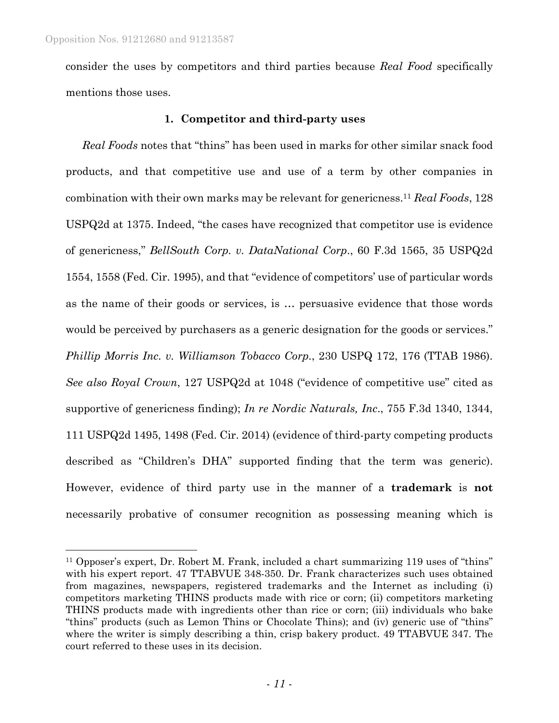$\overline{a}$ 

consider the uses by competitors and third parties because *Real Food* specifically mentions those uses.

### **1. Competitor and third-party uses**

*Real Foods* notes that "thins" has been used in marks for other similar snack food products, and that competitive use and use of a term by other companies in combination with their own marks may be relevant for genericness.11 *Real Foods*, 128 USPQ2d at 1375. Indeed, "the cases have recognized that competitor use is evidence of genericness," *BellSouth Corp. v. DataNational Corp*., 60 F.3d 1565, 35 USPQ2d 1554, 1558 (Fed. Cir. 1995), and that "evidence of competitors' use of particular words as the name of their goods or services, is … persuasive evidence that those words would be perceived by purchasers as a generic designation for the goods or services." *Phillip Morris Inc. v. Williamson Tobacco Corp.*, 230 USPQ 172, 176 (TTAB 1986). *See also Royal Crown*, 127 USPQ2d at 1048 ("evidence of competitive use" cited as supportive of genericness finding); *In re Nordic Naturals, Inc*., 755 F.3d 1340, 1344, 111 USPQ2d 1495, 1498 (Fed. Cir. 2014) (evidence of third-party competing products described as "Children's DHA" supported finding that the term was generic). However, evidence of third party use in the manner of a **trademark** is **not** necessarily probative of consumer recognition as possessing meaning which is

<sup>11</sup> Opposer's expert, Dr. Robert M. Frank, included a chart summarizing 119 uses of "thins" with his expert report. 47 TTABVUE 348-350. Dr. Frank characterizes such uses obtained from magazines, newspapers, registered trademarks and the Internet as including (i) competitors marketing THINS products made with rice or corn; (ii) competitors marketing THINS products made with ingredients other than rice or corn; (iii) individuals who bake "thins" products (such as Lemon Thins or Chocolate Thins); and (iv) generic use of "thins" where the writer is simply describing a thin, crisp bakery product. 49 TTABVUE 347. The court referred to these uses in its decision.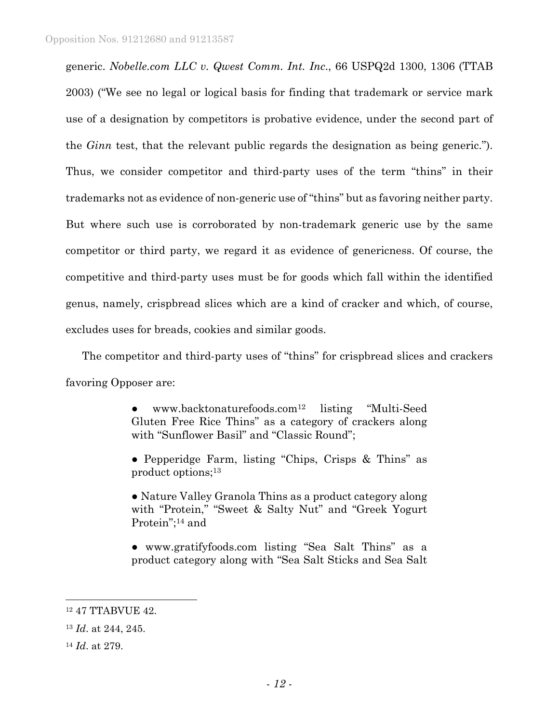generic. *Nobelle.com LLC v. Qwest Comm. Int. Inc*., 66 USPQ2d 1300, 1306 (TTAB 2003) ("We see no legal or logical basis for finding that trademark or service mark use of a designation by competitors is probative evidence, under the second part of the *Ginn* test, that the relevant public regards the designation as being generic."). Thus, we consider competitor and third-party uses of the term "thins" in their trademarks not as evidence of non-generic use of "thins" but as favoring neither party. But where such use is corroborated by non-trademark generic use by the same competitor or third party, we regard it as evidence of genericness. Of course, the competitive and third-party uses must be for goods which fall within the identified genus, namely, crispbread slices which are a kind of cracker and which, of course, excludes uses for breads, cookies and similar goods.

The competitor and third-party uses of "thins" for crispbread slices and crackers favoring Opposer are:

> ● www.backtonaturefoods.com12 listing "Multi-Seed Gluten Free Rice Thins" as a category of crackers along with "Sunflower Basil" and "Classic Round";

> ● Pepperidge Farm, listing "Chips, Crisps & Thins" as product options;13

> • Nature Valley Granola Thins as a product category along with "Protein," "Sweet & Salty Nut" and "Greek Yogurt Protein";<sup>14</sup> and

> ● www.gratifyfoods.com listing "Sea Salt Thins" as a product category along with "Sea Salt Sticks and Sea Salt

 $\overline{a}$ 

<sup>12 47</sup> TTABVUE 42.

<sup>13</sup> *Id*. at 244, 245.

<sup>14</sup> *Id*. at 279.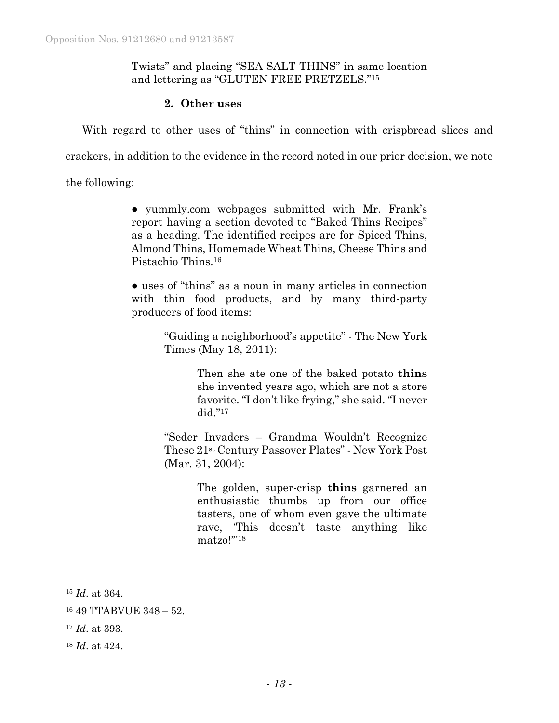## Twists" and placing "SEA SALT THINS" in same location and lettering as "GLUTEN FREE PRETZELS."15

## **2. Other uses**

With regard to other uses of "thins" in connection with crispbread slices and

crackers, in addition to the evidence in the record noted in our prior decision, we note

the following:

● yummly.com webpages submitted with Mr. Frank's report having a section devoted to "Baked Thins Recipes" as a heading. The identified recipes are for Spiced Thins, Almond Thins, Homemade Wheat Thins, Cheese Thins and Pistachio Thins.16

● uses of "thins" as a noun in many articles in connection with thin food products, and by many third-party producers of food items:

> "Guiding a neighborhood's appetite" - The New York Times (May 18, 2011):

> > Then she ate one of the baked potato **thins** she invented years ago, which are not a store favorite. "I don't like frying," she said. "I never did."17

"Seder Invaders – Grandma Wouldn't Recognize These 21st Century Passover Plates" - New York Post (Mar. 31, 2004):

> The golden, super-crisp **thins** garnered an enthusiastic thumbs up from our office tasters, one of whom even gave the ultimate rave, 'This doesn't taste anything like matzo!'"18

 $\overline{a}$ 

<sup>15</sup> *Id*. at 364.

<sup>16 49</sup> TTABVUE 348 – 52.

<sup>17</sup> *Id*. at 393.

<sup>18</sup> *Id*. at 424.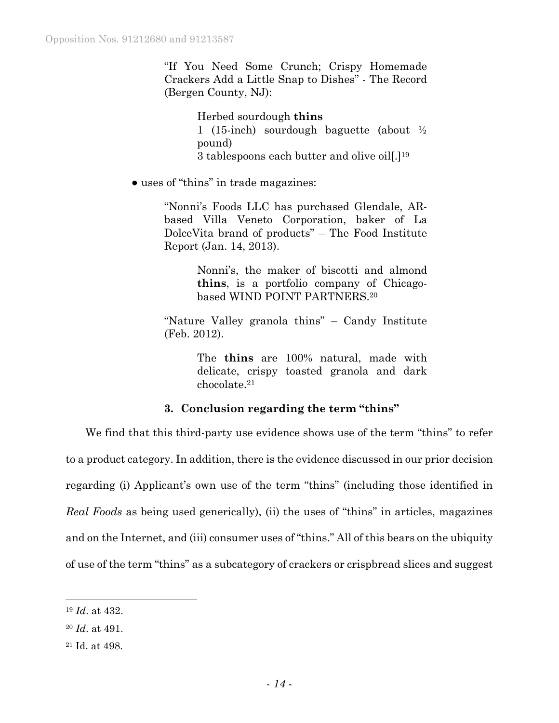"If You Need Some Crunch; Crispy Homemade Crackers Add a Little Snap to Dishes" - The Record (Bergen County, NJ):

> Herbed sourdough **thins** 1 (15-inch) sourdough baguette (about ½ pound) 3 tablespoons each butter and olive oil[.]19

● uses of "thins" in trade magazines:

"Nonni's Foods LLC has purchased Glendale, ARbased Villa Veneto Corporation, baker of La DolceVita brand of products" – The Food Institute Report (Jan. 14, 2013).

> Nonni's, the maker of biscotti and almond **thins**, is a portfolio company of Chicagobased WIND POINT PARTNERS.20

"Nature Valley granola thins" – Candy Institute (Feb. 2012).

> The **thins** are 100% natural, made with delicate, crispy toasted granola and dark chocolate.21

# **3. Conclusion regarding the term "thins"**

We find that this third-party use evidence shows use of the term "thins" to refer to a product category. In addition, there is the evidence discussed in our prior decision regarding (i) Applicant's own use of the term "thins" (including those identified in *Real Foods* as being used generically), (ii) the uses of "thins" in articles, magazines and on the Internet, and (iii) consumer uses of "thins." All of this bears on the ubiquity of use of the term "thins" as a subcategory of crackers or crispbread slices and suggest

l

<sup>19</sup> *Id*. at 432.

<sup>20</sup> *Id*. at 491.

<sup>21</sup> Id. at 498.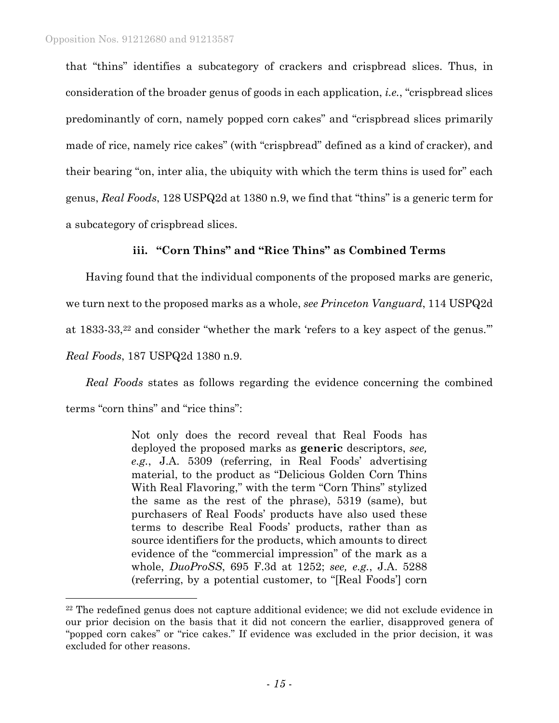1

that "thins" identifies a subcategory of crackers and crispbread slices. Thus, in consideration of the broader genus of goods in each application, *i.e.*, "crispbread slices predominantly of corn, namely popped corn cakes" and "crispbread slices primarily made of rice, namely rice cakes" (with "crispbread" defined as a kind of cracker), and their bearing "on, inter alia, the ubiquity with which the term thins is used for" each genus, *Real Foods*, 128 USPQ2d at 1380 n.9, we find that "thins" is a generic term for a subcategory of crispbread slices.

### **iii. "Corn Thins" and "Rice Thins" as Combined Terms**

Having found that the individual components of the proposed marks are generic, we turn next to the proposed marks as a whole, *see Princeton Vanguard*, 114 USPQ2d at 1833-33,22 and consider "whether the mark 'refers to a key aspect of the genus.'" *Real Foods*, 187 USPQ2d 1380 n.9.

*Real Foods* states as follows regarding the evidence concerning the combined terms "corn thins" and "rice thins":

> Not only does the record reveal that Real Foods has deployed the proposed marks as **generic** descriptors, *see, e.g.*, J.A. 5309 (referring, in Real Foods' advertising material, to the product as "Delicious Golden Corn Thins With Real Flavoring," with the term "Corn Thins" stylized the same as the rest of the phrase), 5319 (same), but purchasers of Real Foods' products have also used these terms to describe Real Foods' products, rather than as source identifiers for the products, which amounts to direct evidence of the "commercial impression" of the mark as a whole, *DuoProSS*, 695 F.3d at 1252; *see, e.g.*, J.A. 5288 (referring, by a potential customer, to "[Real Foods'] corn

<sup>22</sup> The redefined genus does not capture additional evidence; we did not exclude evidence in our prior decision on the basis that it did not concern the earlier, disapproved genera of "popped corn cakes" or "rice cakes." If evidence was excluded in the prior decision, it was excluded for other reasons.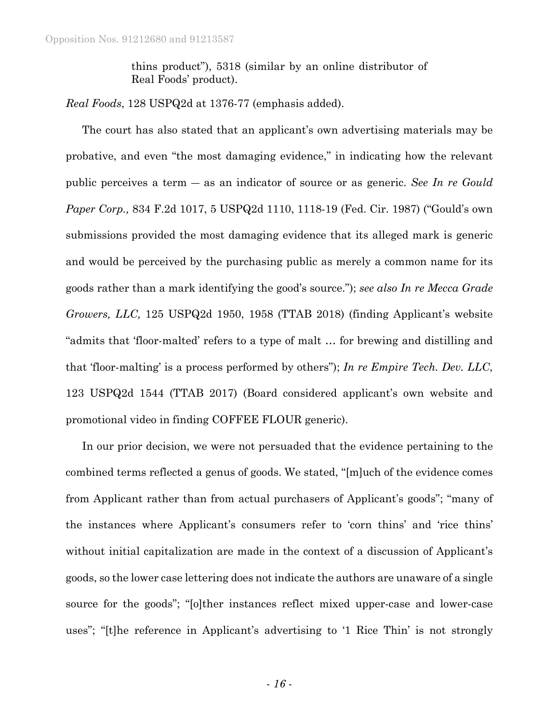thins product"), 5318 (similar by an online distributor of Real Foods' product).

*Real Foods*, 128 USPQ2d at 1376-77 (emphasis added).

The court has also stated that an applicant's own advertising materials may be probative, and even "the most damaging evidence," in indicating how the relevant public perceives a term ― as an indicator of source or as generic. *See In re Gould Paper Corp.,* 834 F.2d 1017, 5 USPQ2d 1110, 1118-19 (Fed. Cir. 1987) ("Gould's own submissions provided the most damaging evidence that its alleged mark is generic and would be perceived by the purchasing public as merely a common name for its goods rather than a mark identifying the good's source."); *see also In re Mecca Grade Growers, LLC,* 125 USPQ2d 1950, 1958 (TTAB 2018) (finding Applicant's website "admits that 'floor-malted' refers to a type of malt … for brewing and distilling and that 'floor-malting' is a process performed by others"); *In re Empire Tech. Dev. LLC*, 123 USPQ2d 1544 (TTAB 2017) (Board considered applicant's own website and promotional video in finding COFFEE FLOUR generic).

In our prior decision, we were not persuaded that the evidence pertaining to the combined terms reflected a genus of goods. We stated, "[m]uch of the evidence comes from Applicant rather than from actual purchasers of Applicant's goods"; "many of the instances where Applicant's consumers refer to 'corn thins' and 'rice thins' without initial capitalization are made in the context of a discussion of Applicant's goods, so the lower case lettering does not indicate the authors are unaware of a single source for the goods"; "[o]ther instances reflect mixed upper-case and lower-case uses"; "[t]he reference in Applicant's advertising to '1 Rice Thin' is not strongly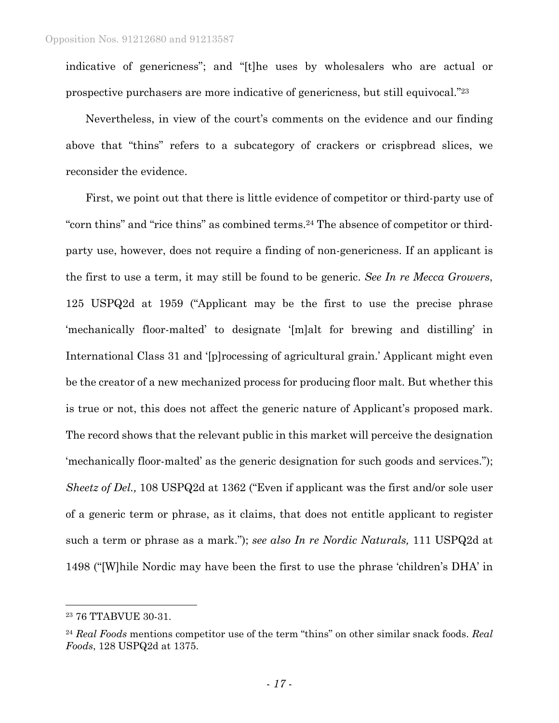indicative of genericness"; and "[t]he uses by wholesalers who are actual or prospective purchasers are more indicative of genericness, but still equivocal."23

Nevertheless, in view of the court's comments on the evidence and our finding above that "thins" refers to a subcategory of crackers or crispbread slices, we reconsider the evidence.

First, we point out that there is little evidence of competitor or third-party use of "corn thins" and "rice thins" as combined terms.24 The absence of competitor or thirdparty use, however, does not require a finding of non-genericness. If an applicant is the first to use a term, it may still be found to be generic. *See In re Mecca Growers*, 125 USPQ2d at 1959 ("Applicant may be the first to use the precise phrase 'mechanically floor-malted' to designate '[m]alt for brewing and distilling' in International Class 31 and '[p]rocessing of agricultural grain.' Applicant might even be the creator of a new mechanized process for producing floor malt. But whether this is true or not, this does not affect the generic nature of Applicant's proposed mark. The record shows that the relevant public in this market will perceive the designation 'mechanically floor-malted' as the generic designation for such goods and services."); *Sheetz of Del.,* 108 USPQ2d at 1362 ("Even if applicant was the first and/or sole user of a generic term or phrase, as it claims, that does not entitle applicant to register such a term or phrase as a mark."); *see also In re Nordic Naturals,* 111 USPQ2d at 1498 ("[W]hile Nordic may have been the first to use the phrase 'children's DHA' in

l

<sup>23 76</sup> TTABVUE 30-31.

<sup>24</sup> *Real Foods* mentions competitor use of the term "thins" on other similar snack foods. *Real Foods*, 128 USPQ2d at 1375.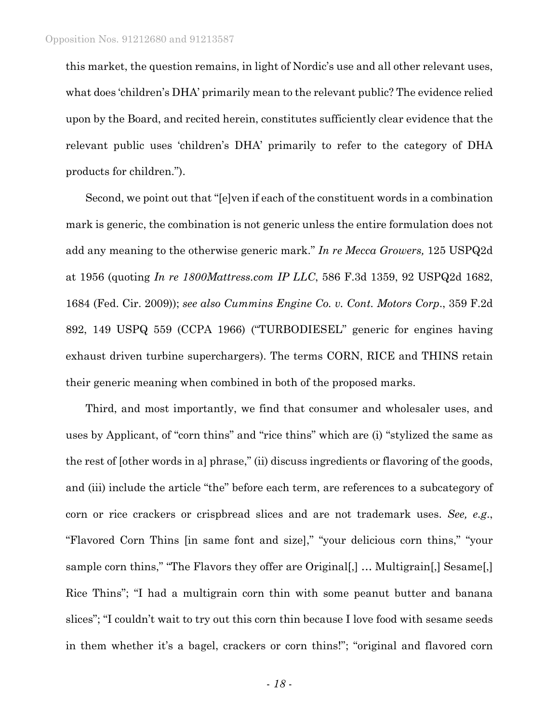this market, the question remains, in light of Nordic's use and all other relevant uses, what does 'children's DHA' primarily mean to the relevant public? The evidence relied upon by the Board, and recited herein, constitutes sufficiently clear evidence that the relevant public uses 'children's DHA' primarily to refer to the category of DHA products for children.").

Second, we point out that "[e]ven if each of the constituent words in a combination mark is generic, the combination is not generic unless the entire formulation does not add any meaning to the otherwise generic mark." *In re Mecca Growers,* 125 USPQ2d at 1956 (quoting *In re 1800Mattress.com IP LLC*, 586 F.3d 1359, 92 USPQ2d 1682, 1684 (Fed. Cir. 2009)); *see also Cummins Engine Co. v. Cont. Motors Corp*., 359 F.2d 892, 149 USPQ 559 (CCPA 1966) ("TURBODIESEL" generic for engines having exhaust driven turbine superchargers). The terms CORN, RICE and THINS retain their generic meaning when combined in both of the proposed marks.

Third, and most importantly, we find that consumer and wholesaler uses, and uses by Applicant, of "corn thins" and "rice thins" which are (i) "stylized the same as the rest of [other words in a] phrase," (ii) discuss ingredients or flavoring of the goods, and (iii) include the article "the" before each term, are references to a subcategory of corn or rice crackers or crispbread slices and are not trademark uses. *See, e.g*., "Flavored Corn Thins [in same font and size]," "your delicious corn thins," "your sample corn thins," "The Flavors they offer are Original[,] ... Multigrain[,] Sesame[,] Rice Thins"; "I had a multigrain corn thin with some peanut butter and banana slices"; "I couldn't wait to try out this corn thin because I love food with sesame seeds in them whether it's a bagel, crackers or corn thins!"; "original and flavored corn